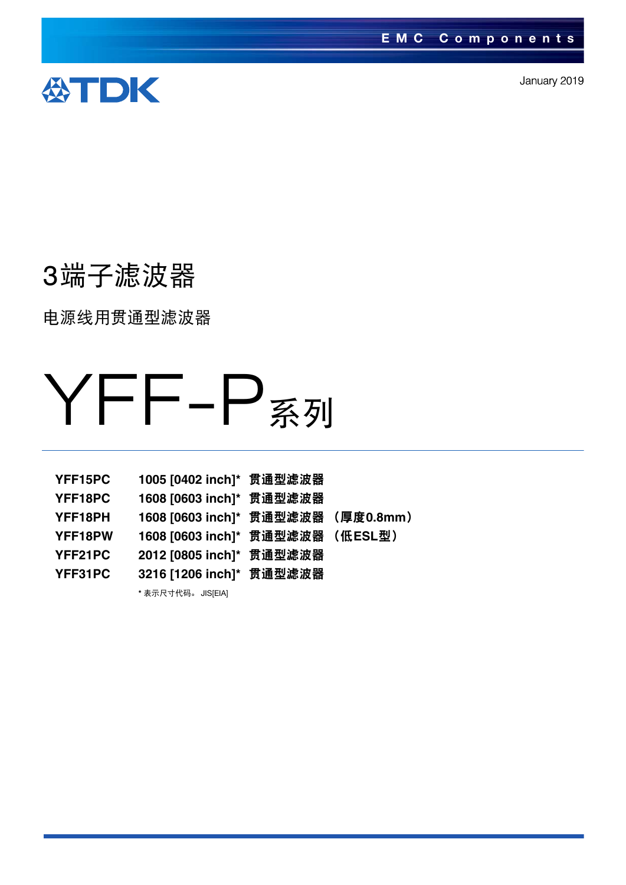

January 2019

# 3端子滤波器

电源线用贯通型滤波器

# YFF-P系列

| YFF15PC | 1005 [0402 inch]* 贯通型滤波器           |  |
|---------|------------------------------------|--|
| YFF18PC | 1608 [0603 inch]* 贯通型滤波器           |  |
| YFF18PH | 1608 [0603 inch]* 贯通型滤波器 (厚度0.8mm) |  |
| YFF18PW | 1608 [0603 inch]* 贯通型滤波器 (低ESL型)   |  |
| YFF21PC | 2012 [0805 inch]* 贯通型滤波器           |  |
| YFF31PC | 3216 [1206 inch]* 贯通型滤波器           |  |
|         | * 表示尺寸代码。 JIS[EIA]                 |  |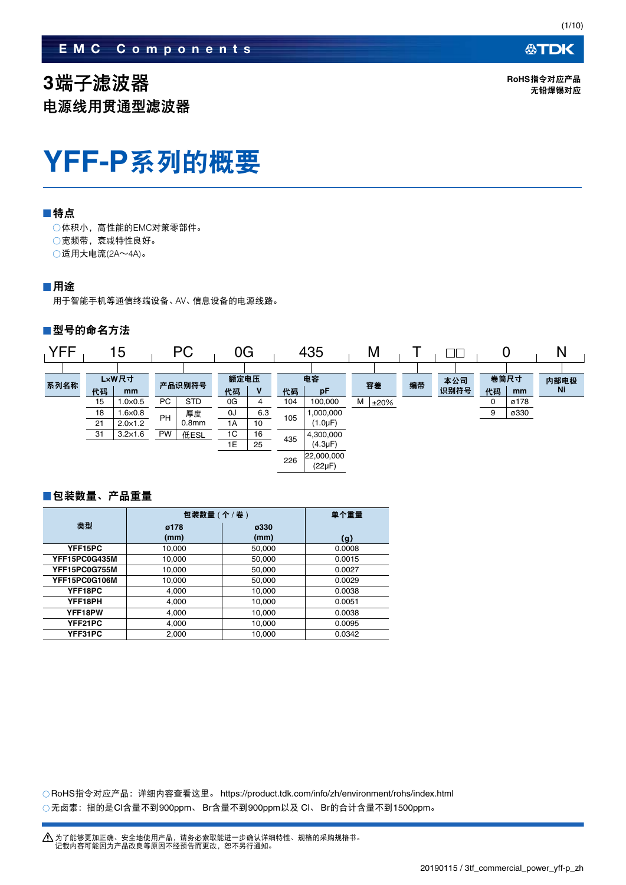**3**端子滤波器 电源线用贯通型滤波器 **公TDK** 

**RoHS**指令对应产品 无铅焊锡对应

# **YFF-P**系列的概要

### ■特点

体积小,高性能的EMC对策零部件。 宽频带,衰减特性良好。 适用大电流(2A~4A)。

### 用途

用于智能手机等通信终端设备、AV、信息设备的电源线路。

### ■型号的命名方法



### ■包装数量、产品重量

|               | 包装数量 (个 / 卷) | 单个重量         |        |
|---------------|--------------|--------------|--------|
| 类型            | ø178<br>(mm) | ø330<br>(mm) | (q)    |
| YFF15PC       | 10,000       | 50,000       | 0.0008 |
| YFF15PC0G435M | 10,000       | 50,000       | 0.0015 |
| YFF15PC0G755M | 10,000       | 50,000       | 0.0027 |
| YFF15PC0G106M | 10,000       | 50,000       | 0.0029 |
| YFF18PC       | 4,000        | 10,000       | 0.0038 |
| YFF18PH       | 4,000        | 10,000       | 0.0051 |
| YFF18PW       | 4,000        | 10,000       | 0.0038 |
| YFF21PC       | 4,000        | 10,000       | 0.0095 |
| YFF31PC       | 2.000        | 10.000       | 0.0342 |

RoHS指令对应产品:详细内容查看这里。 https://product.tdk.com/info/zh/environment/rohs/index.html ○无卤素:指的是Cl含量不到900ppm、 Br含量不到900ppm以及 Cl、 Br的合计含量不到1500ppm。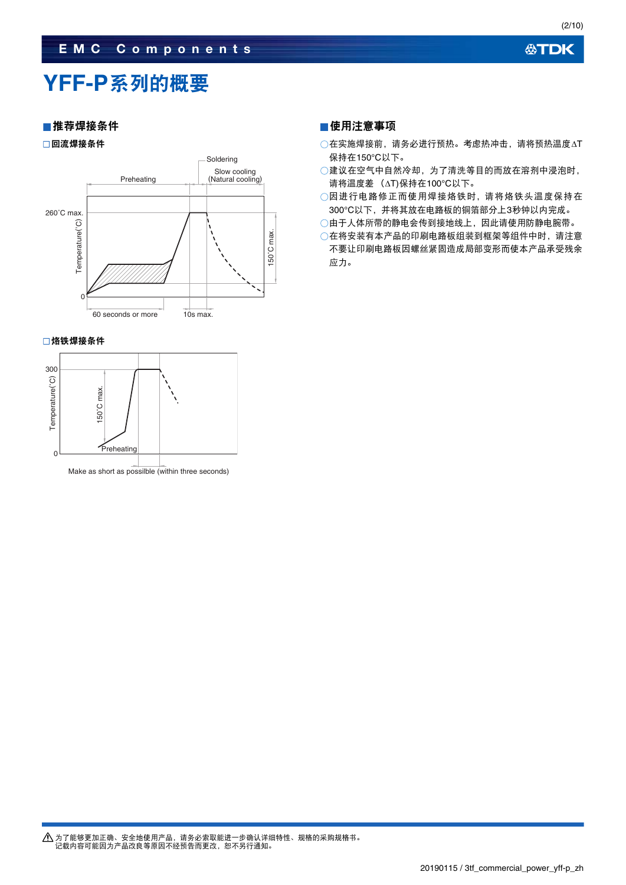### **EMC Components**

### **公TDK**

# **YFF-P**系列的概要

### ■推荐焊接条件

回流焊接条件



### □烙铁焊接条件



### 使用注意事项

- ○在实施焊接前,请务必进行预热。考虑热冲击,请将预热温度△T 保持在150°C以下。
- 建议在空气中自然冷却,为了清洗等目的而放在溶剂中浸泡时, 请将温度差 (△T)保持在100°C以下。
- 因进行电路修正而使用焊接烙铁时,请将烙铁头温度保持在 300°C以下,并将其放在电路板的铜箔部分上3秒钟以内完成。
- 由于人体所带的静电会传到接地线上,因此请使用防静电腕带。
- 在将安装有本产品的印刷电路板组装到框架等组件中时,请注意 不要让印刷电路板因螺丝紧固造成局部变形而使本产品承受残余 应力。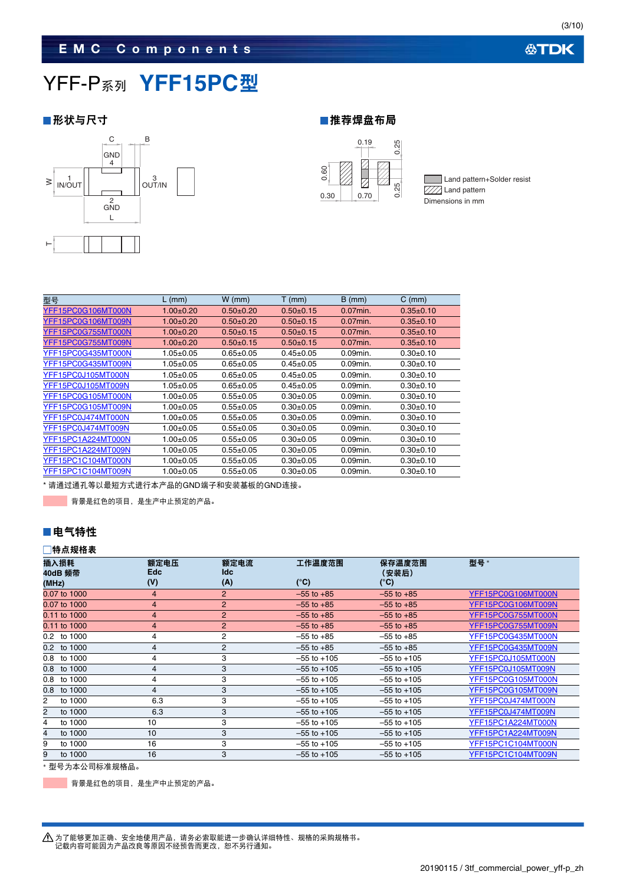

### ■形状与尺寸 キャンプ インディング せいしょう せいきょう せいせいしょう せいじょう



Land pattern+Solder resist  $\overline{\text{VII}}$  Land pattern Dimensions in mm

| 型号                 | $L$ (mm)        | $W$ (mm)        | $T$ (mm)        | $B$ (mm)    | $C$ (mm)        |
|--------------------|-----------------|-----------------|-----------------|-------------|-----------------|
| YFF15PC0G106MT000N | $1.00+0.20$     | $0.50+0.20$     | $0.50+0.15$     | $0.07$ min. | $0.35 \pm 0.10$ |
| YFF15PC0G106MT009N | $1.00+0.20$     | $0.50 + 0.20$   | $0.50+0.15$     | $0.07$ min. | $0.35 + 0.10$   |
| YFF15PC0G755MT000N | $1.00+0.20$     | $0.50+0.15$     | $0.50+0.15$     | $0.07$ min. | $0.35 + 0.10$   |
| YFF15PC0G755MT009N | $1.00+0.20$     | $0.50+0.15$     | $0.50+0.15$     | $0.07$ min. | $0.35+0.10$     |
| YFF15PC0G435MT000N | $1.05 \pm 0.05$ | $0.65 \pm 0.05$ | $0.45 \pm 0.05$ | $0.09$ min. | $0.30+0.10$     |
| YFF15PC0G435MT009N | $1.05 \pm 0.05$ | $0.65 \pm 0.05$ | $0.45 \pm 0.05$ | $0.09$ min. | $0.30+0.10$     |
| YFF15PC0J105MT000N | $1.05 \pm 0.05$ | $0.65 \pm 0.05$ | $0.45 \pm 0.05$ | 0.09min.    | $0.30+0.10$     |
| YFF15PC0J105MT009N | $1.05 \pm 0.05$ | $0.65 \pm 0.05$ | $0.45 \pm 0.05$ | $0.09$ min. | $0.30+0.10$     |
| YFF15PC0G105MT000N | $1.00 + 0.05$   | $0.55+0.05$     | $0.30+0.05$     | $0.09$ min. | $0.30+0.10$     |
| YFF15PC0G105MT009N | $1.00+0.05$     | $0.55+0.05$     | $0.30 + 0.05$   | $0.09$ min. | $0.30+0.10$     |
| YFF15PC0J474MT000N | $1.00 + 0.05$   | $0.55 \pm 0.05$ | $0.30+0.05$     | $0.09$ min. | $0.30+0.10$     |
| YFF15PC0J474MT009N | $1.00 + 0.05$   | $0.55+0.05$     | $0.30 + 0.05$   | $0.09$ min. | $0.30+0.10$     |
| YFF15PC1A224MT000N | $1.00 + 0.05$   | $0.55+0.05$     | $0.30 + 0.05$   | $0.09$ min. | $0.30+0.10$     |
| YFF15PC1A224MT009N | 1.00±0.05       | $0.55 \pm 0.05$ | $0.30 + 0.05$   | $0.09$ min. | $0.30+0.10$     |
| YFF15PC1C104MT000N | $1.00 + 0.05$   | $0.55 \pm 0.05$ | $0.30+0.05$     | $0.09$ min. | $0.30+0.10$     |
| YFF15PC1C104MT009N | $1.00{\pm}0.05$ | $0.55 \pm 0.05$ | $0.30 + 0.05$   | $0.09$ min. | $0.30+0.10$     |
|                    |                 |                 |                 |             |                 |

\* 请通过通孔等以最短方式进行本产品的GND端子和安装基板的GND连接。

**第十一章 有限是红色的项目,是生产中止预定的产品。** 

### ■电气特性

### 特点规格表

| 插入损耗<br>40dB 频带 | 额定电压<br><b>Edc</b> | 额定电流<br><b>Idc</b> | 工作温度范围          | 保存温度范围<br>(安装后) | 型号*                |
|-----------------|--------------------|--------------------|-----------------|-----------------|--------------------|
| (MHz)           | (V)                | (A)                | $(^{\circ}C)$   | (°C)            |                    |
| 0.07 to 1000    | $\overline{4}$     | 2                  | $-55$ to $+85$  | $-55$ to $+85$  | YFF15PC0G106MT000N |
| 0.07 to 1000    | $\overline{4}$     | 2                  | $-55$ to $+85$  | $-55$ to $+85$  | YFF15PC0G106MT009N |
| 0.11 to 1000    | $\overline{4}$     | $\overline{2}$     | $-55$ to $+85$  | $-55$ to $+85$  | YFF15PC0G755MT000N |
| 0.11 to 1000    | $\overline{4}$     | 2                  | $-55$ to $+85$  | $-55$ to $+85$  | YFF15PC0G755MT009N |
| 0.2 to 1000     | 4                  | 2                  | $-55$ to $+85$  | $-55$ to $+85$  | YFF15PC0G435MT000N |
| 0.2 to 1000     | 4                  | 2                  | $-55$ to $+85$  | $-55$ to $+85$  | YFF15PC0G435MT009N |
| 0.8 to 1000     | 4                  | 3                  | $-55$ to $+105$ | $-55$ to $+105$ | YFF15PC0J105MT000N |
| 0.8 to 1000     | 4                  | 3                  | $-55$ to $+105$ | $-55$ to $+105$ | YFF15PC0J105MT009N |
| 0.8 to 1000     | 4                  | 3                  | $-55$ to $+105$ | $-55$ to $+105$ | YFF15PC0G105MT000N |
| to 1000<br>0.8  | 4                  | 3                  | $-55$ to $+105$ | $-55$ to $+105$ | YFF15PC0G105MT009N |
| to 1000<br>2    | 6.3                | 3                  | $-55$ to $+105$ | $-55$ to $+105$ | YFF15PC0J474MT000N |
| 2<br>to 1000    | 6.3                | 3                  | $-55$ to $+105$ | $-55$ to $+105$ | YFF15PC0J474MT009N |
| to 1000<br>4    | 10                 | 3                  | $-55$ to $+105$ | $-55$ to $+105$ | YFF15PC1A224MT000N |
| to 1000<br>4    | 10                 | 3                  | $-55$ to $+105$ | $-55$ to $+105$ | YFF15PC1A224MT009N |
| 9<br>to 1000    | 16                 | 3                  | $-55$ to $+105$ | $-55$ to $+105$ | YFF15PC1C104MT000N |
| to 1000<br>9    | 16                 | 3                  | $-55$ to $+105$ | $-55$ to $+105$ | YFF15PC1C104MT009N |

型号为本公司标准规格品。

背景是红色的项目,是生产中止预定的产品。

**公TDK**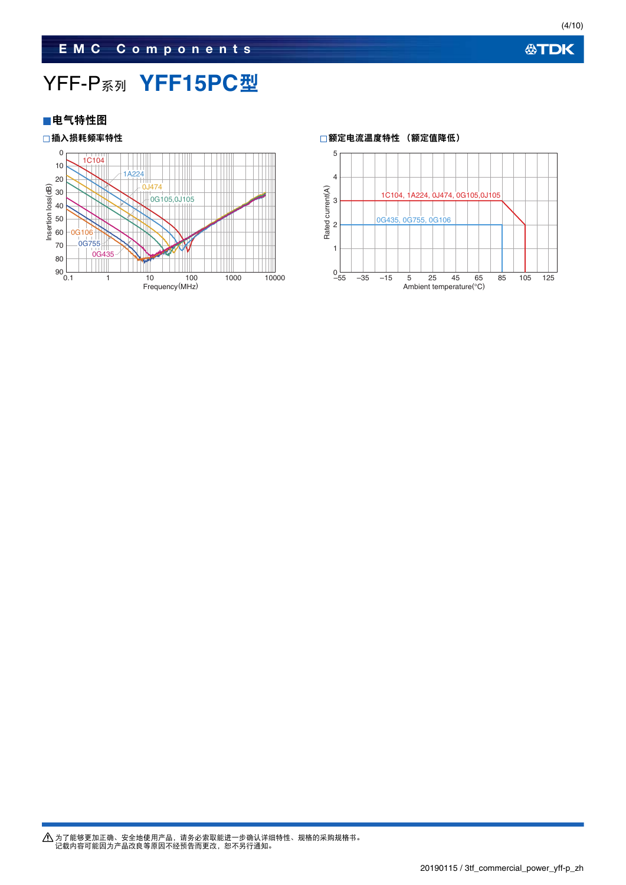## **EMC Components**

# YFF-P系列 **YFF15PC**型



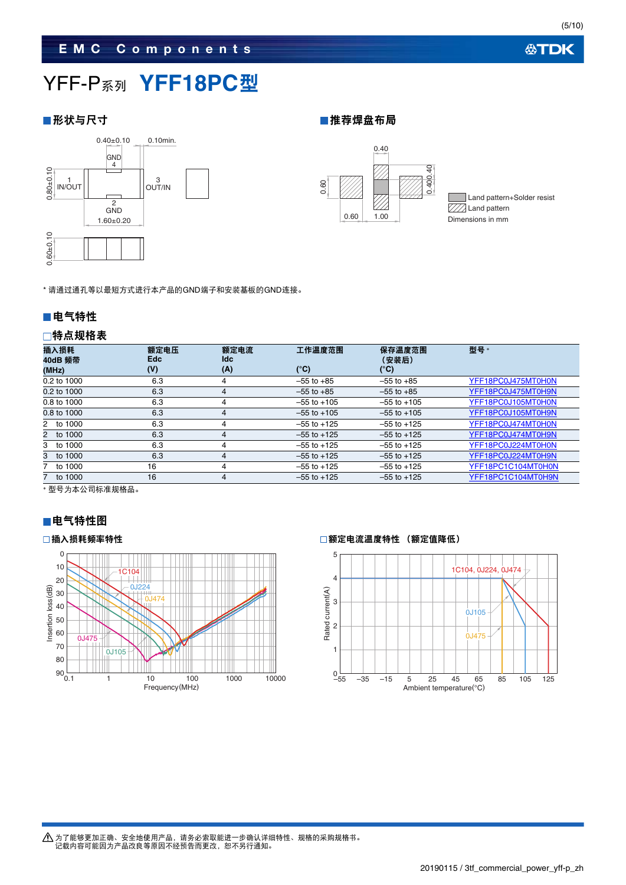(5/10)

# YFF-P系列 **YFF18PC**型

### ■形状与尺寸 ■推荐焊盘布局



0.40  $40$ 0.400.40 0.400.4 0.60  $0.60$  1.00

Land pattern+Solder resist **ZZA** Land pattern Dimensions in mm

\* 请通过通孔等以最短方式进行本产品的GND端子和安装基板的GND连接。

### ■电气特性

### 特点规格表

| 插入损耗<br>40dB 频带<br>(MHz) | 额定电压<br><b>Edc</b><br>(V) | 额定电流<br><b>Idc</b><br>(A) | 工作温度范围<br>(°C)  | 保存温度范围<br>(安装后)<br>(°C) | <b>型</b> 묵 *       |
|--------------------------|---------------------------|---------------------------|-----------------|-------------------------|--------------------|
| 0.2 to 1000              | 6.3                       | 4                         | $-55$ to $+85$  | $-55$ to $+85$          | YFF18PC0J475MT0H0N |
| 0.2 to 1000              | 6.3                       | 4                         | $-55$ to $+85$  | $-55$ to $+85$          | YFF18PC0J475MT0H9N |
| 0.8 to 1000              | 6.3                       | 4                         | $-55$ to $+105$ | $-55$ to $+105$         | YFF18PC0J105MT0H0N |
| 0.8 to 1000              | 6.3                       | 4                         | $-55$ to $+105$ | $-55$ to $+105$         | YFF18PC0J105MT0H9N |
| 2 to 1000                | 6.3                       | 4                         | $-55$ to $+125$ | $-55$ to $+125$         | YFF18PC0J474MT0H0N |
| 2 to 1000                | 6.3                       | 4                         | $-55$ to $+125$ | $-55$ to $+125$         | YFF18PC0J474MT0H9N |
| 3 to 1000                | 6.3                       | 4                         | $-55$ to $+125$ | $-55$ to $+125$         | YFF18PC0J224MT0H0N |
| 3 to 1000                | 6.3                       | 4                         | $-55$ to $+125$ | $-55$ to $+125$         | YFF18PC0J224MT0H9N |
| to 1000                  | 16                        | 4                         | $-55$ to $+125$ | $-55$ to $+125$         | YFF18PC1C104MT0H0N |
| to 1000                  | 16                        | 4                         | $-55$ to $+125$ | $-55$ to $+125$         | YFF18PC1C104MT0H9N |

型号为本公司标准规格品。

### ■电气特性图



### □插入损耗频率特性 □额定电流温度特性 (额定值降低)

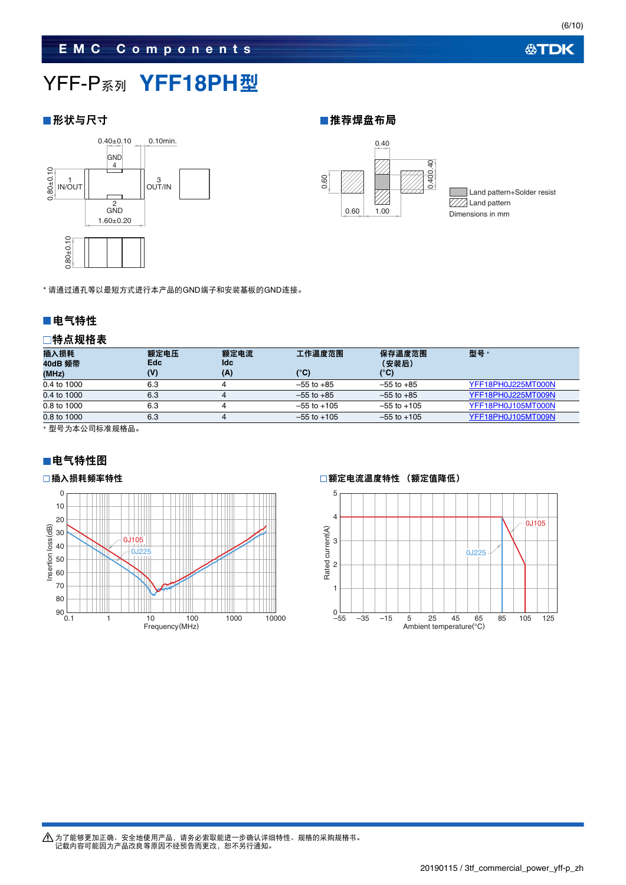# YFF-P系列 **YFF18PH**型

### ■形状与尺寸 ■推荐焊盘布局



0.40 0.400.40 0.400.40 0.60 V 0.60 1.00

Land pattern+Solder resist **V//** Land pattern Dimensions in mm

### ■电气特性

### 特点规格表

| $0.80 + 0.10$                        |                    |                    |                 |                 |                    |
|--------------------------------------|--------------------|--------------------|-----------------|-----------------|--------------------|
| * 请通过通孔等以最短方式进行本产品的GND端子和安装基板的GND连接。 |                    |                    |                 |                 |                    |
| ■电气特性                                |                    |                    |                 |                 |                    |
| □特点规格表                               |                    |                    |                 |                 |                    |
| 插入损耗<br>40dB 频带                      | 额定电压<br><b>Edc</b> | 额定电流<br><b>Idc</b> | 工作温度范围          | 保存温度范围<br>(安装后) | 型号 *               |
| (MHz)                                | (V)                | (A)                | $(^{\circ}C)$   | $(^{\circ}C)$   |                    |
| 0.4 to 1000                          | 6.3                | 4                  | $-55$ to $+85$  | $-55$ to $+85$  | YFF18PH0J225MT000N |
| 0.4 to 1000                          | 6.3                | $\overline{4}$     | $-55$ to $+85$  | $-55$ to $+85$  | YFF18PH0J225MT009N |
| 0.8 to 1000                          | 6.3                | 4                  | $-55$ to $+105$ | $-55$ to $+105$ | YFF18PH0J105MT000N |
| 0.8 to 1000                          | 6.3                | 4                  | $-55$ to $+105$ | $-55$ to $+105$ | YFF18PH0J105MT009N |

型号为本公司标准规格品。

### ■电气特性图



### □插入损耗频率特性 □额定电流温度特性 (额定值降低)



为了能够更加正确、安全地使用产品,请务必索取能进一步确认详细特性、规格的采购规格书。<br>记载内容可能因为产品改良等原因不经预告而更改,恕不另行通知。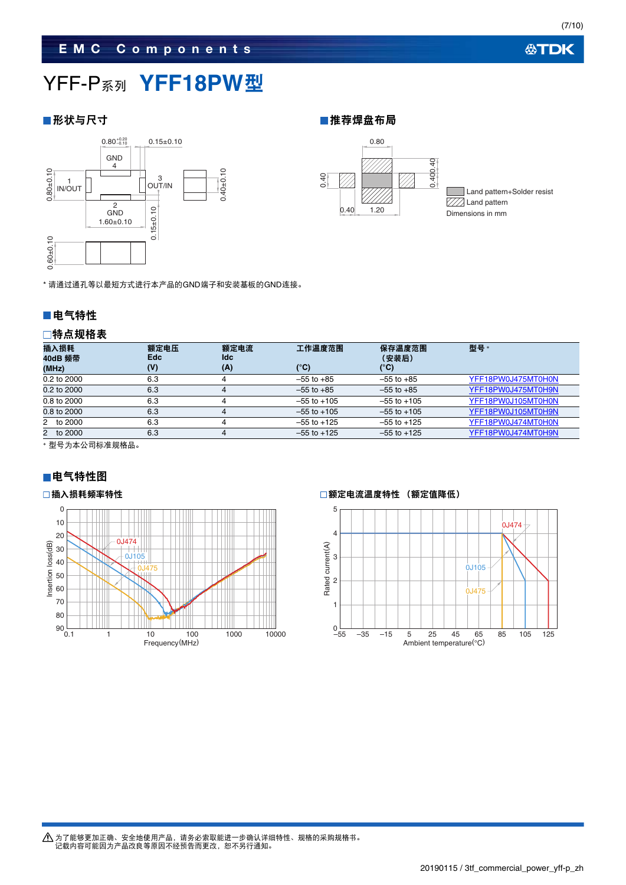# YFF-P系列 **YFF18PW**型



■形状与尺寸 ■推荐焊盘布局



### ■电气特性

### 特点规格表

| ■电气特性<br>□特点规格表<br>插入损耗<br>40dB 频带<br>(MHz)<br>0.2 to 2000<br>0.2 to 2000<br>0.8 to 2000<br>0.8 to 2000 | 额定电压<br><b>Edc</b><br>(V)<br>6.3<br>6.3<br>6.3<br>6.3 | 额定电流<br><b>Idc</b><br>(A)<br>4<br>4<br>4<br>4 | 工作温度范围<br>$(^{\circ}C)$<br>$-55$ to $+85$<br>$-55$ to $+85$<br>$-55$ to $+105$<br>$-55$ to $+105$ | 保存温度范围<br>(安装后)<br>$(^{\circ}C)$<br>$-55$ to $+85$<br>$-55$ to $+85$<br>$-55$ to $+105$<br>$-55$ to $+105$ | 型号*<br>YFF18PW0J475MT0H0N<br>YFF18PW0J475MT0H9N<br>YFF18PW0J105MT0H0N<br>YFF18PW0J105MT0H9N |
|---------------------------------------------------------------------------------------------------------|-------------------------------------------------------|-----------------------------------------------|---------------------------------------------------------------------------------------------------|------------------------------------------------------------------------------------------------------------|---------------------------------------------------------------------------------------------|
|                                                                                                         |                                                       |                                               |                                                                                                   |                                                                                                            |                                                                                             |
|                                                                                                         |                                                       |                                               |                                                                                                   |                                                                                                            |                                                                                             |
|                                                                                                         |                                                       |                                               |                                                                                                   |                                                                                                            |                                                                                             |
|                                                                                                         |                                                       |                                               |                                                                                                   |                                                                                                            |                                                                                             |
|                                                                                                         |                                                       |                                               |                                                                                                   |                                                                                                            |                                                                                             |
| * 请通过通孔等以最短方式进行本产品的GND端子和安装基板的GND连接。                                                                    |                                                       |                                               |                                                                                                   |                                                                                                            |                                                                                             |
| $0.60 + 0.10$                                                                                           |                                                       |                                               |                                                                                                   |                                                                                                            |                                                                                             |
| $0.80 + 0.10$<br>IN/OUT<br>2<br><b>GND</b><br>$1.60 + 0.10$                                             | OUT/IN<br>$0.15 \pm 0.10$                             | $0.40 + 0.10$                                 | 0.40<br>0.40                                                                                      | 0.400<br>1.20                                                                                              | Land pattern+Solder resist<br>Land pattern<br>Dimensions in mm                              |

型号为本公司标准规格品。

### ■电气特性图



### □插入损耗频率特性 ねんない おおしい おおしい おおし おおし の あんのおん 回額定电流温度特性 (额定値降低)

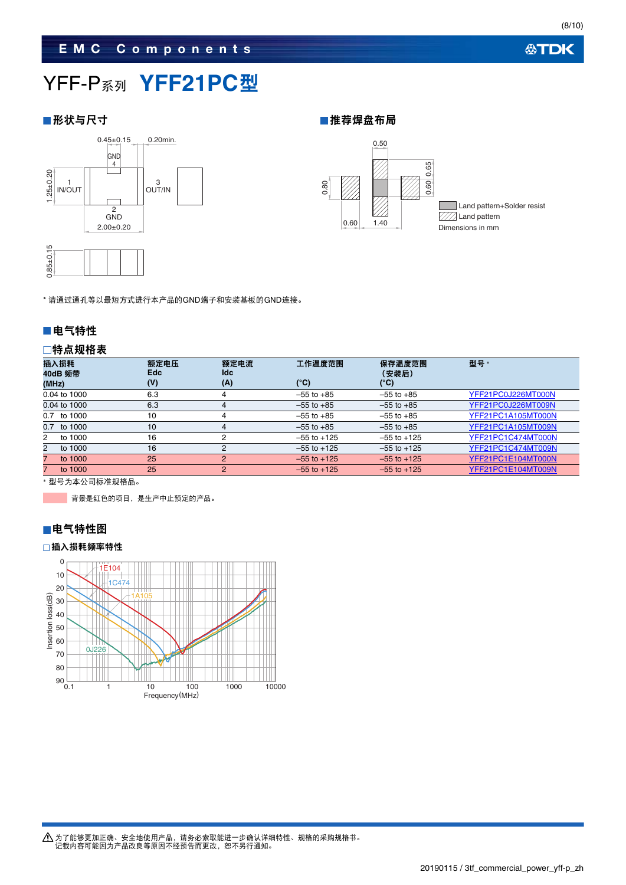### **EMC Components**

# YFF-P系列 **YFF21PC**型

### ■形状与尺寸 ■推荐焊盘布局





\* 请通过通孔等以最短方式进行本产品的GND端子和安装基板的GND连接。

### ■电气特性

### 特点规格表

| 插入损耗<br>40dB 频带<br>(MHz) | 额定电压<br><b>Edc</b><br>(V) | 额定电流<br><b>Idc</b><br>(A) | 工作温度范围<br>(°C)  | 保存温度范围<br>(安装后)<br>(°C) | <b>型号</b> *        |
|--------------------------|---------------------------|---------------------------|-----------------|-------------------------|--------------------|
| 0.04 to 1000             | 6.3                       | 4                         | $-55$ to $+85$  | $-55$ to $+85$          | YFF21PC0J226MT000N |
| 0.04 to 1000             | 6.3                       | 4                         | $-55$ to $+85$  | $-55$ to $+85$          | YFF21PC0J226MT009N |
| 0.7 to 1000              | 10                        | 4                         | $-55$ to $+85$  | $-55$ to $+85$          | YFF21PC1A105MT000N |
| 0.7 to 1000              | 10                        | 4                         | $-55$ to $+85$  | $-55$ to $+85$          | YFF21PC1A105MT009N |
| to 1000<br>2             | 16                        | 2                         | $-55$ to $+125$ | $-55$ to $+125$         | YFF21PC1C474MT000N |
| $\mathbf{2}$<br>to 1000  | 16                        | 2                         | $-55$ to $+125$ | $-55$ to $+125$         | YFF21PC1C474MT009N |
| to 1000                  | 25                        | 2                         | $-55$ to $+125$ | $-55$ to $+125$         | YFF21PC1E104MT000N |
| to 1000                  | 25                        | 2                         | $-55$ to $+125$ | $-55$ to $+125$         | YFF21PC1E104MT009N |
|                          |                           |                           |                 |                         |                    |

型号为本公司标准规格品。

背景是红色的项目,是生产中止预定的产品。



### 插入损耗频率特性

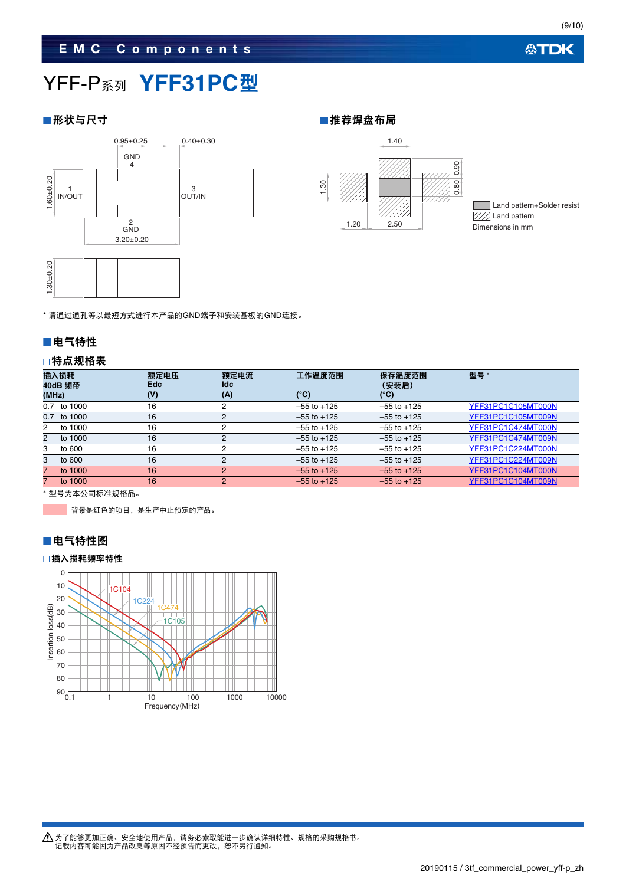# YFF-P系列 **YFF31PC**型

■形状与尺寸 キャンプ インディング せいしょう せいしょう せいせいしょう せいじょう せいしょう





Land pattern+Solder resist  $\overline{\mathbb{Z}/\mathbb{Z}}$  Land pattern Dimensions in mm

\* 请通过通孔等以最短方式进行本产品的GND端子和安装基板的GND连接。

### ■电气特性

### 特点规格表

| (MHz)        | 插入损耗<br>40dB 频带 | 额定电压<br><b>Edc</b><br>(V) | 额定电流<br>ldc<br>(A) | 工作温度范围<br>$\mathbf{C}^{\circ}$ | 保存温度范围<br>(安装后)<br>(°C) | <b>型号</b> *        |
|--------------|-----------------|---------------------------|--------------------|--------------------------------|-------------------------|--------------------|
| 0.7          | to 1000         | 16                        |                    | $-55$ to $+125$                | $-55$ to $+125$         | YFF31PC1C105MT000N |
| 0.7          | to 1000         | 16                        |                    | $-55$ to $+125$                | $-55$ to $+125$         | YFF31PC1C105MT009N |
| $^{2}$       | to 1000         | 16                        | 2                  | $-55$ to $+125$                | $-55$ to $+125$         | YFF31PC1C474MT000N |
| $\mathbf{2}$ | to 1000         | 16                        | 2                  | $-55$ to $+125$                | $-55$ to $+125$         | YFF31PC1C474MT009N |
| 3            | to 600          | 16                        |                    | $-55$ to $+125$                | $-55$ to $+125$         | YFF31PC1C224MT000N |
| 3            | to 600          | 16                        | 2                  | $-55$ to $+125$                | $-55$ to $+125$         | YFF31PC1C224MT009N |
|              | to 1000         | 16                        | 2                  | $-55$ to $+125$                | $-55$ to $+125$         | YFF31PC1C104MT000N |
|              | to 1000         | 16                        | $\overline{2}$     | $-55$ to $+125$                | $-55$ to $+125$         | YFF31PC1C104MT009N |

型号为本公司标准规格品。

背景是红色的项目,是生产中止预定的产品。

### ■电气特性图

n.

### 插入损耗频率特性